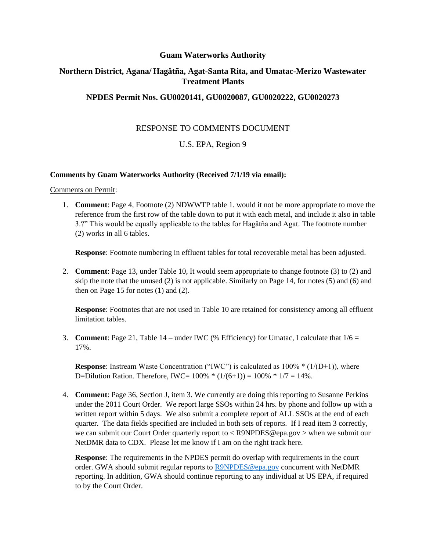### **Guam Waterworks Authority**

# **Northern District, Agana/ Hagåtña, Agat-Santa Rita, and Umatac-Merizo Wastewater Treatment Plants**

## **NPDES Permit Nos. GU0020141, GU0020087, GU0020222, GU0020273**

# RESPONSE TO COMMENTS DOCUMENT

# U.S. EPA, Region 9

#### **Comments by Guam Waterworks Authority (Received 7/1/19 via email):**

#### Comments on Permit:

1. **Comment**: Page 4, Footnote (2) NDWWTP table 1. would it not be more appropriate to move the reference from the first row of the table down to put it with each metal, and include it also in table 3.?" This would be equally applicable to the tables for Hagåtña and Agat. The footnote number (2) works in all 6 tables.

**Response**: Footnote numbering in effluent tables for total recoverable metal has been adjusted.

2. **Comment**: Page 13, under Table 10, It would seem appropriate to change footnote (3) to (2) and skip the note that the unused (2) is not applicable. Similarly on Page 14, for notes (5) and (6) and then on Page 15 for notes  $(1)$  and  $(2)$ .

**Response**: Footnotes that are not used in Table 10 are retained for consistency among all effluent limitation tables.

3. **Comment**: Page 21, Table 14 – under IWC (% Efficiency) for Umatac, I calculate that  $1/6 =$ 17%.

**Response**: Instream Waste Concentration ("IWC") is calculated as  $100\% * (1/(D+1))$ , where D=Dilution Ration. Therefore, IWC=  $100\% * (1/(6+1)) = 100\% * 1/7 = 14\%$ .

4. **Comment**: Page 36, Section J, item 3. We currently are doing this reporting to Susanne Perkins under the 2011 Court Order. We report large SSOs within 24 hrs. by phone and follow up with a written report within 5 days. We also submit a complete report of ALL SSOs at the end of each quarter. The data fields specified are included in both sets of reports. If I read item 3 correctly, we can submit our Court Order quarterly report to < R9NPDES@epa.gov > when we submit our NetDMR data to CDX. Please let me know if I am on the right track here.

**Response**: The requirements in the NPDES permit do overlap with requirements in the court order. GWA should submit regular reports to [R9NPDES@epa.gov](mailto:R9NPDES@epa.gov) concurrent with NetDMR reporting. In addition, GWA should continue reporting to any individual at US EPA, if required to by the Court Order.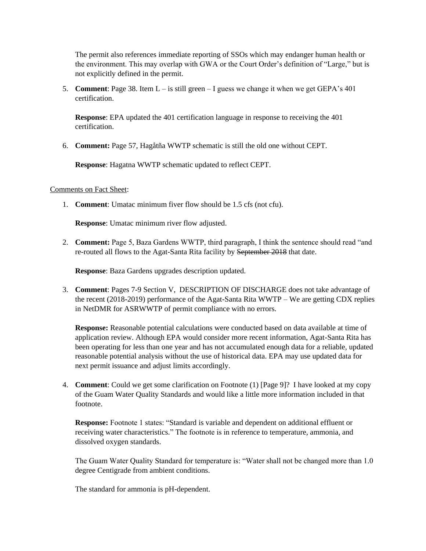The permit also references immediate reporting of SSOs which may endanger human health or the environment. This may overlap with GWA or the Court Order's definition of "Large," but is not explicitly defined in the permit.

5. **Comment**: Page 38. Item L – is still green – I guess we change it when we get GEPA's 401 certification.

**Response**: EPA updated the 401 certification language in response to receiving the 401 certification.

6. **Comment:** Page 57, Hagåtña WWTP schematic is still the old one without CEPT.

**Response**: Hagatna WWTP schematic updated to reflect CEPT.

#### Comments on Fact Sheet:

1. **Comment**: Umatac minimum fiver flow should be 1.5 cfs (not cfu).

**Response**: Umatac minimum river flow adjusted.

2. **Comment:** Page 5, Baza Gardens WWTP, third paragraph, I think the sentence should read "and re-routed all flows to the Agat-Santa Rita facility by September 2018 that date.

**Response**: Baza Gardens upgrades description updated.

3. **Comment**: Pages 7-9 Section V, DESCRIPTION OF DISCHARGE does not take advantage of the recent (2018-2019) performance of the Agat-Santa Rita WWTP – We are getting CDX replies in NetDMR for ASRWWTP of permit compliance with no errors.

**Response:** Reasonable potential calculations were conducted based on data available at time of application review. Although EPA would consider more recent information, Agat-Santa Rita has been operating for less than one year and has not accumulated enough data for a reliable, updated reasonable potential analysis without the use of historical data. EPA may use updated data for next permit issuance and adjust limits accordingly.

4. **Comment**: Could we get some clarification on Footnote (1) [Page 9]? I have looked at my copy of the Guam Water Quality Standards and would like a little more information included in that footnote.

**Response:** Footnote 1 states: "Standard is variable and dependent on additional effluent or receiving water characteristics." The footnote is in reference to temperature, ammonia, and dissolved oxygen standards.

The Guam Water Quality Standard for temperature is: "Water shall not be changed more than 1.0 degree Centigrade from ambient conditions.

The standard for ammonia is pH-dependent.